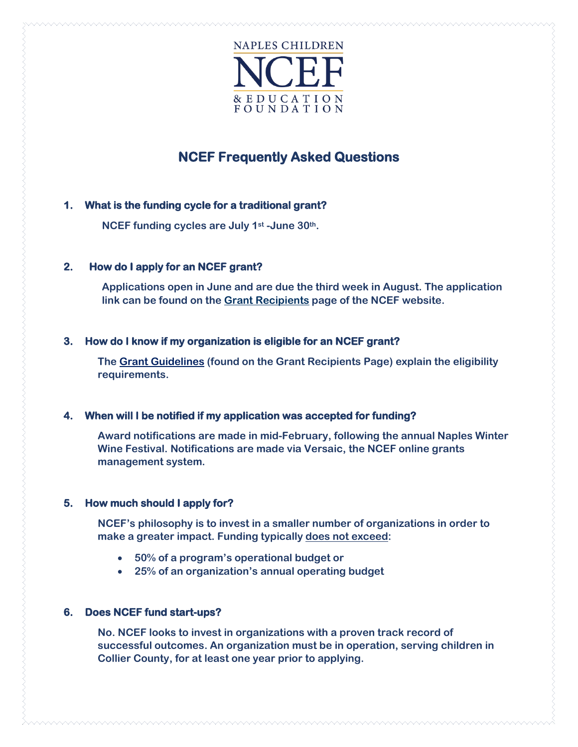

# **NCEF Frequently Asked Questions**

# **1. What is the funding cycle for a traditional grant?**

**NCEF funding cycles are July 1st -June 30th.**

# **2. How do I apply for an NCEF grant?**

**Applications open in June and are due the third week in August. The application link can be found on the [Grant Recipients](https://www.napleswinefestival.com/grant-recipients/) page of the NCEF website.** 

# **3. How do I know if my organization is eligible for an NCEF grant?**

**The [Grant Guidelines](https://www.napleswinefestival.com/grant-recipients/) (found on the Grant Recipients Page) explain the eligibility requirements.** 

## **4. When will I be notified if my application was accepted for funding?**

**Award notifications are made in mid-February, following the annual Naples Winter Wine Festival. Notifications are made via Versaic, the NCEF online grants management system.**

## **5. How much should I apply for?**

**NCEF's philosophy is to invest in a smaller number of organizations in order to make a greater impact. Funding typically does not exceed:**

- **50% of a program's operational budget or**
- **25% of an organization's annual operating budget**

# **6. Does NCEF fund start-ups?**

**No. NCEF looks to invest in organizations with a proven track record of successful outcomes. An organization must be in operation, serving children in Collier County, for at least one year prior to applying.**